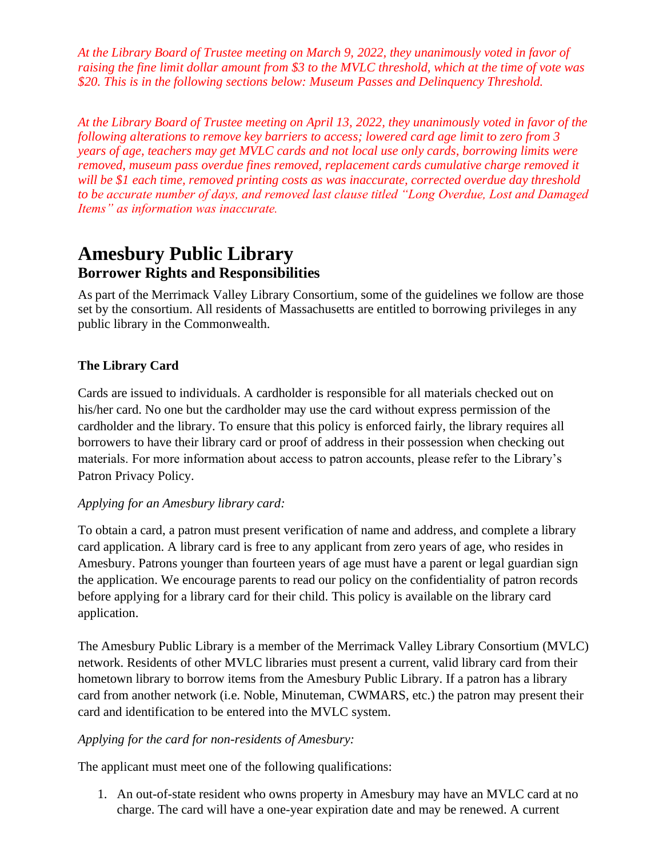*At the Library Board of Trustee meeting on March 9, 2022, they unanimously voted in favor of raising the fine limit dollar amount from \$3 to the MVLC threshold, which at the time of vote was \$20. This is in the following sections below: Museum Passes and Delinquency Threshold.*

*At the Library Board of Trustee meeting on April 13, 2022, they unanimously voted in favor of the following alterations to remove key barriers to access; lowered card age limit to zero from 3 years of age, teachers may get MVLC cards and not local use only cards, borrowing limits were removed, museum pass overdue fines removed, replacement cards cumulative charge removed it will be \$1 each time, removed printing costs as was inaccurate, corrected overdue day threshold to be accurate number of days, and removed last clause titled "Long Overdue, Lost and Damaged Items" as information was inaccurate.* 

# **Amesbury Public Library Borrower Rights and Responsibilities**

As part of the Merrimack Valley Library Consortium, some of the guidelines we follow are those set by the consortium. All residents of Massachusetts are entitled to borrowing privileges in any public library in the Commonwealth.

# **The Library Card**

Cards are issued to individuals. A cardholder is responsible for all materials checked out on his/her card. No one but the cardholder may use the card without express permission of the cardholder and the library. To ensure that this policy is enforced fairly, the library requires all borrowers to have their library card or proof of address in their possession when checking out materials. For more information about access to patron accounts, please refer to the Library's Patron Privacy Policy.

# *Applying for an Amesbury library card:*

To obtain a card, a patron must present verification of name and address, and complete a library card application. A library card is free to any applicant from zero years of age, who resides in Amesbury. Patrons younger than fourteen years of age must have a parent or legal guardian sign the application. We encourage parents to read our policy on the confidentiality of patron records before applying for a library card for their child. This policy is available on the library card application.

The Amesbury Public Library is a member of the Merrimack Valley Library Consortium (MVLC) network. Residents of other MVLC libraries must present a current, valid library card from their hometown library to borrow items from the Amesbury Public Library. If a patron has a library card from another network (i.e. Noble, Minuteman, CWMARS, etc.) the patron may present their card and identification to be entered into the MVLC system.

# *Applying for the card for non-residents of Amesbury:*

The applicant must meet one of the following qualifications:

1. An out-of-state resident who owns property in Amesbury may have an MVLC card at no charge. The card will have a one-year expiration date and may be renewed. A current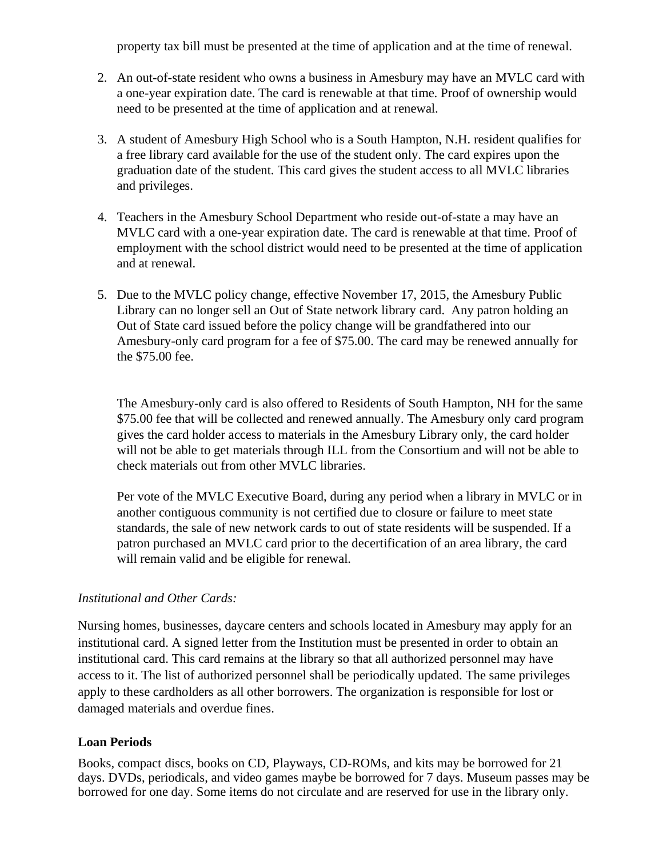property tax bill must be presented at the time of application and at the time of renewal.

- 2. An out-of-state resident who owns a business in Amesbury may have an MVLC card with a one-year expiration date. The card is renewable at that time. Proof of ownership would need to be presented at the time of application and at renewal.
- 3. A student of Amesbury High School who is a South Hampton, N.H. resident qualifies for a free library card available for the use of the student only. The card expires upon the graduation date of the student. This card gives the student access to all MVLC libraries and privileges.
- 4. Teachers in the Amesbury School Department who reside out-of-state a may have an MVLC card with a one-year expiration date. The card is renewable at that time. Proof of employment with the school district would need to be presented at the time of application and at renewal.
- 5. Due to the MVLC policy change, effective November 17, 2015, the Amesbury Public Library can no longer sell an Out of State network library card. Any patron holding an Out of State card issued before the policy change will be grandfathered into our Amesbury-only card program for a fee of \$75.00. The card may be renewed annually for the \$75.00 fee.

The Amesbury-only card is also offered to Residents of South Hampton, NH for the same \$75.00 fee that will be collected and renewed annually. The Amesbury only card program gives the card holder access to materials in the Amesbury Library only, the card holder will not be able to get materials through ILL from the Consortium and will not be able to check materials out from other MVLC libraries.

Per vote of the MVLC Executive Board, during any period when a library in MVLC or in another contiguous community is not certified due to closure or failure to meet state standards, the sale of new network cards to out of state residents will be suspended. If a patron purchased an MVLC card prior to the decertification of an area library, the card will remain valid and be eligible for renewal.

# *Institutional and Other Cards:*

Nursing homes, businesses, daycare centers and schools located in Amesbury may apply for an institutional card. A signed letter from the Institution must be presented in order to obtain an institutional card. This card remains at the library so that all authorized personnel may have access to it. The list of authorized personnel shall be periodically updated. The same privileges apply to these cardholders as all other borrowers. The organization is responsible for lost or damaged materials and overdue fines.

# **Loan Periods**

Books, compact discs, books on CD, Playways, CD-ROMs, and kits may be borrowed for 21 days. DVDs, periodicals, and video games maybe be borrowed for 7 days. Museum passes may be borrowed for one day. Some items do not circulate and are reserved for use in the library only.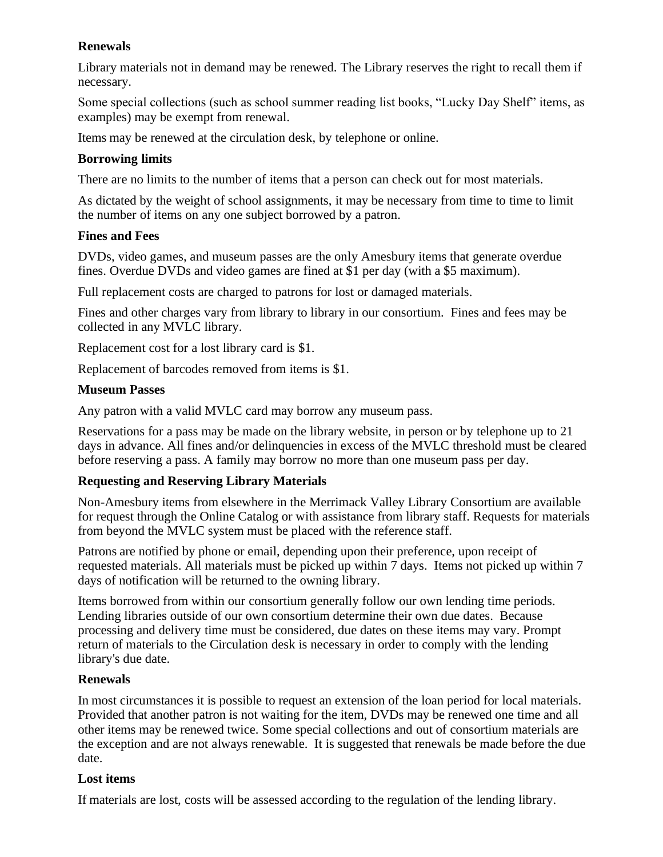# **Renewals**

Library materials not in demand may be renewed. The Library reserves the right to recall them if necessary.

Some special collections (such as school summer reading list books, "Lucky Day Shelf" items, as examples) may be exempt from renewal.

Items may be renewed at the circulation desk, by telephone or online.

### **Borrowing limits**

There are no limits to the number of items that a person can check out for most materials.

As dictated by the weight of school assignments, it may be necessary from time to time to limit the number of items on any one subject borrowed by a patron.

#### **Fines and Fees**

DVDs, video games, and museum passes are the only Amesbury items that generate overdue fines. Overdue DVDs and video games are fined at \$1 per day (with a \$5 maximum).

Full replacement costs are charged to patrons for lost or damaged materials.

Fines and other charges vary from library to library in our consortium. Fines and fees may be collected in any MVLC library.

Replacement cost for a lost library card is \$1.

Replacement of barcodes removed from items is \$1.

#### **Museum Passes**

Any patron with a valid MVLC card may borrow any museum pass.

Reservations for a pass may be made on the library website, in person or by telephone up to 21 days in advance. All fines and/or delinquencies in excess of the MVLC threshold must be cleared before reserving a pass. A family may borrow no more than one museum pass per day.

# **Requesting and Reserving Library Materials**

Non-Amesbury items from elsewhere in the Merrimack Valley Library Consortium are available for request through the Online Catalog or with assistance from library staff. Requests for materials from beyond the MVLC system must be placed with the reference staff.

Patrons are notified by phone or email, depending upon their preference, upon receipt of requested materials. All materials must be picked up within 7 days. Items not picked up within 7 days of notification will be returned to the owning library.

Items borrowed from within our consortium generally follow our own lending time periods. Lending libraries outside of our own consortium determine their own due dates. Because processing and delivery time must be considered, due dates on these items may vary. Prompt return of materials to the Circulation desk is necessary in order to comply with the lending library's due date.

#### **Renewals**

In most circumstances it is possible to request an extension of the loan period for local materials. Provided that another patron is not waiting for the item, DVDs may be renewed one time and all other items may be renewed twice. Some special collections and out of consortium materials are the exception and are not always renewable. It is suggested that renewals be made before the due date.

#### **Lost items**

If materials are lost, costs will be assessed according to the regulation of the lending library.